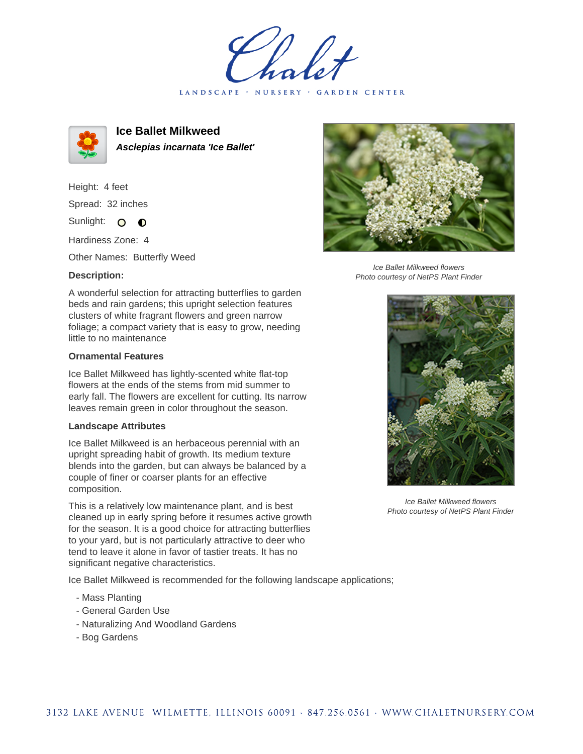LANDSCAPE · NURSERY · GARDEN CENTER



**Ice Ballet Milkweed Asclepias incarnata 'Ice Ballet'**

Height: 4 feet Spread: 32 inches

Sunlight: O  $\bullet$ 

Hardiness Zone: 4

Other Names: Butterfly Weed

## **Description:**

A wonderful selection for attracting butterflies to garden beds and rain gardens; this upright selection features clusters of white fragrant flowers and green narrow foliage; a compact variety that is easy to grow, needing little to no maintenance

## **Ornamental Features**

Ice Ballet Milkweed has lightly-scented white flat-top flowers at the ends of the stems from mid summer to early fall. The flowers are excellent for cutting. Its narrow leaves remain green in color throughout the season.

## **Landscape Attributes**

Ice Ballet Milkweed is an herbaceous perennial with an upright spreading habit of growth. Its medium texture blends into the garden, but can always be balanced by a couple of finer or coarser plants for an effective composition.

This is a relatively low maintenance plant, and is best cleaned up in early spring before it resumes active growth for the season. It is a good choice for attracting butterflies to your yard, but is not particularly attractive to deer who tend to leave it alone in favor of tastier treats. It has no significant negative characteristics.

Ice Ballet Milkweed is recommended for the following landscape applications;

- Mass Planting
- General Garden Use
- Naturalizing And Woodland Gardens
- Bog Gardens



Ice Ballet Milkweed flowers Photo courtesy of NetPS Plant Finder



Ice Ballet Milkweed flowers Photo courtesy of NetPS Plant Finder